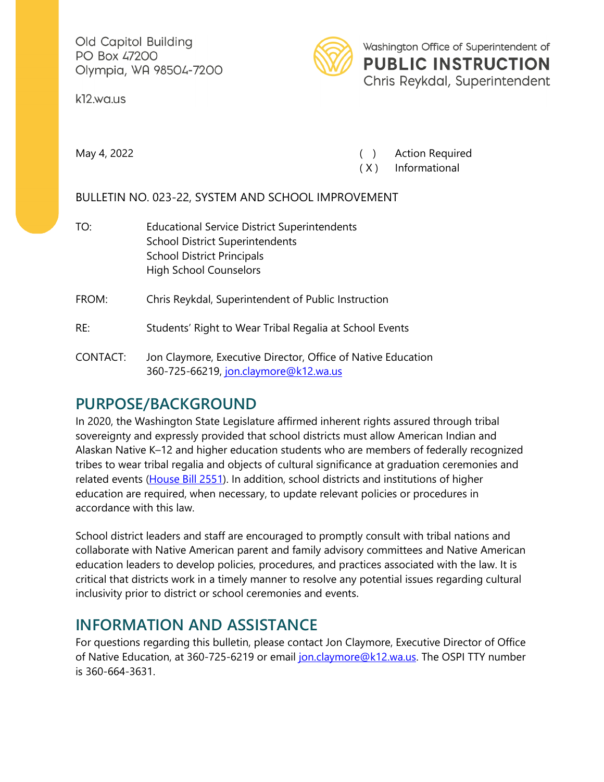Old Capitol Building PO Box 47200 Olympia, WA 98504-7200

k12.wa.us



Washington Office of Superintendent of **PUBLIC INSTRUCTION** Chris Reykdal, Superintendent

May 4, 2022 **May 4, 2022 Constant Construction Construction Construction Construction Construction Construction Construction Construction Construction Construction Construction Construction Construction Construction Cons** 

( X ) Informational

BULLETIN NO. 023-22, SYSTEM AND SCHOOL IMPROVEMENT

TO: Educational Service District Superintendents School District Superintendents School District Principals High School Counselors

FROM: Chris Reykdal, Superintendent of Public Instruction

RE: Students' Right to Wear Tribal Regalia at School Events

CONTACT: Jon Claymore, Executive Director, Office of Native Education 360-725-66219, [jon.claymore@k12.wa.us](mailto:jon.claymore@k12.wa.us)

## **PURPOSE/BACKGROUND**

In 2020, the Washington State Legislature affirmed inherent rights assured through tribal sovereignty and expressly provided that school districts must allow American Indian and Alaskan Native K–12 and higher education students who are members of federally recognized tribes to wear tribal regalia and objects of cultural significance at graduation ceremonies and related events [\(House Bill 2551\)](https://lawfilesext.leg.wa.gov/biennium/2019-20/Pdf/Bills/Session%20Laws/House/2551-S.SL.pdf?q=20200514123817). In addition, school districts and institutions of higher education are required, when necessary, to update relevant policies or procedures in accordance with this law.

School district leaders and staff are encouraged to promptly consult with tribal nations and collaborate with Native American parent and family advisory committees and Native American education leaders to develop policies, procedures, and practices associated with the law. It is critical that districts work in a timely manner to resolve any potential issues regarding cultural inclusivity prior to district or school ceremonies and events.

## **INFORMATION AND ASSISTANCE**

For questions regarding this bulletin, please contact Jon Claymore, Executive Director of Office of Native Education, at 360-725-6219 or email [jon.claymore@k12.wa.us.](mailto:jon.claymore@k12.wa.us) The OSPI TTY number is 360-664-3631.